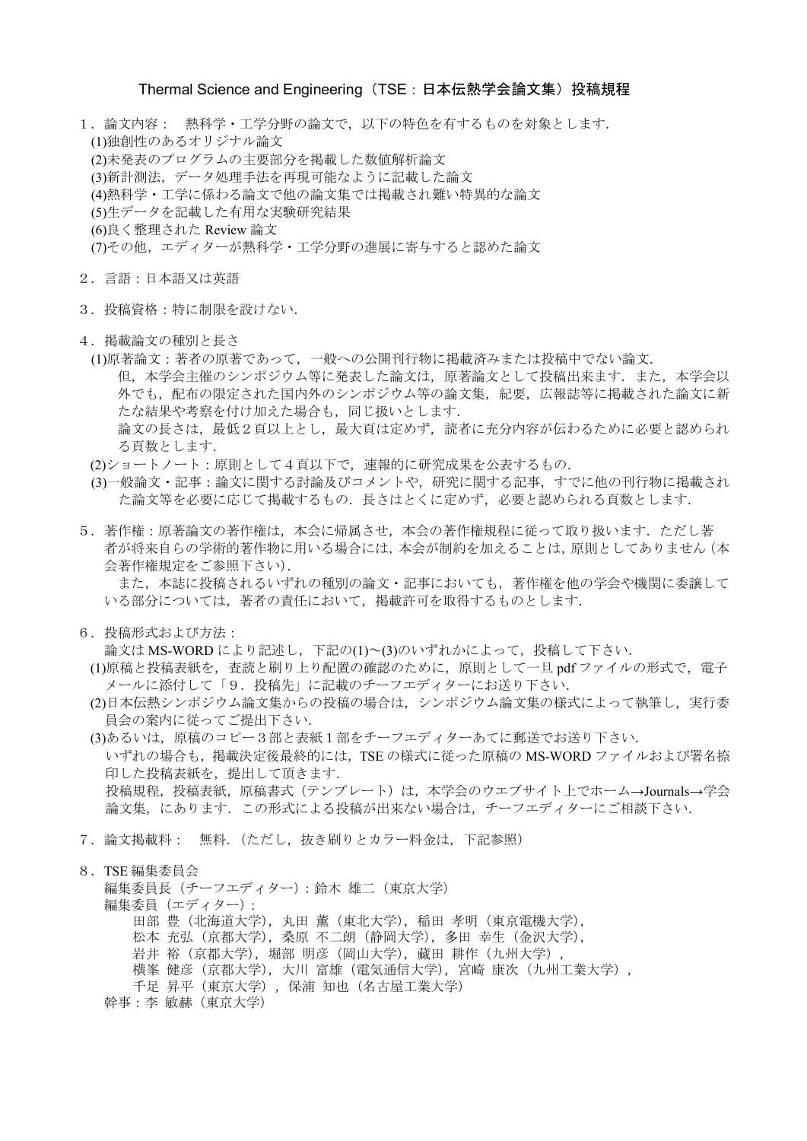#### Thermal Science and Engineering (TSE: 日本伝熱学会論文集) 投稿規程

1.論文内容: 熱科学・工学分野の論文で,以下の特色を有するものを対象とします. (1)独創性のあるオリジナル論文 (2)未発表のプログラムの主要部分を掲載した数値解析論文 (3)新計測法,データ処理手法を再現可能なように記載した論文 (4)熱科学・工学に係わる論文で他の論文集では掲載され難い特異的な論文 (5)生データを記載した有用な実験研究結果 (6)良く整理された Review 論文 (7)その他,エディターが熱科学・工学分野の進展に寄与すると認めた論文

- 2.言語:日本語又は英語
- 3.投稿資格:特に制限を設けない.
- 4.掲載論文の種別と長さ
	- (1)原著論文:著者の原著であって,一般への公開刊行物に掲載済みまたは投稿中でない論文. 但、本学会主催のシンポジウム等に発表した論文は、原著論文として投稿出来ます.また、本学会以 外でも、配布の限定された国内外のシンポジウム等の論文集、紀要、広報誌等に掲載された論文に新 たな結果や考察を付け加えた場合も,同じ扱いとします. 論文の長さは,最低2頁以上とし,最大頁は定めず,読者に充分内容が伝わるために必要と認められ る頁数とします.
	- (2)ショートノート:原則として4頁以下で,速報的に研究成果を公表するもの.
	- (3)一般論文・記事:論文に関する討論及びコメントや,研究に関する記事,すでに他の刊行物に掲載され た論文等を必要に応じて掲載するもの.長さはとくに定めず,必要と認められる頁数とします.
- 5. 著作権:原著論文の著作権は、本会に帰属させ、本会の著作権規程に従って取り扱います. ただし著 者が将来自らの学術的著作物に用いる場合には,本会が制約を加えることは,原則としてありません(本 会著作権規定をご参照下さい).

また,本誌に投稿されるいずれの種別の論文・記事においても,著作権を他の学会や機関に委譲して いる部分については,著者の責任において,掲載許可を取得するものとします.

6.投稿形式および方法:

論文は MS-WORD により記述し,下記の(1)~(3)のいずれかによって,投稿して下さい.

- (1)原稿と投稿表紙を,査読と刷り上り配置の確認のために,原則として一旦 pdf ファイルの形式で,電子 メールに添付して「9.投稿先」に記載のチーフエディターにお送り下さい.
- (2)日本伝熱シンポジウム論文集からの投稿の場合は、シンポジウム論文集の様式によって執筆し、実行委 員会の案内に従ってご提出下さい.
- (3)あるいは,原稿のコピー3部と表紙1部をチーフエディターあてに郵送でお送り下さい. いずれの場合も,掲載決定後最終的には,TSE の様式に従った原稿の MS-WORD ファイルおよび署名捺 印した投稿表紙を,提出して頂きます. 投稿規程,投稿表紙,原稿書式(テンプレート)は,本学会のウエブサイト上でホーム→Journals→学会 論文集,にあります.この形式による投稿が出来ない場合は,チーフエディターにご相談下さい.
- 7.論文掲載料: 無料.(ただし,抜き刷りとカラー料金は,下記参照)
- 8.TSE 編集委員会

編集委員長(チーフエディター):鈴木 雄二(東京大学) 編集委員 (エディター): 田部 豊 (北海道大学), 丸田 薫 (東北大学), 稲田 孝明 (東京電機大学), 松本 充弘(京都大学),桑原 不二朗(静岡大学),多田 幸生(金沢大学), 岩井 裕 (京都大学), 堀部 明彦 (岡山大学), 藏田 耕作 (九州大学), 横峯 健彦 (京都大学), 大川 富雄 (電気通信大学), 宮崎 康次 (九州工業大学), 千足 昇平(東京大学),保浦 知也(名古屋工業大学) 幹事:李 敏赫(東京大学)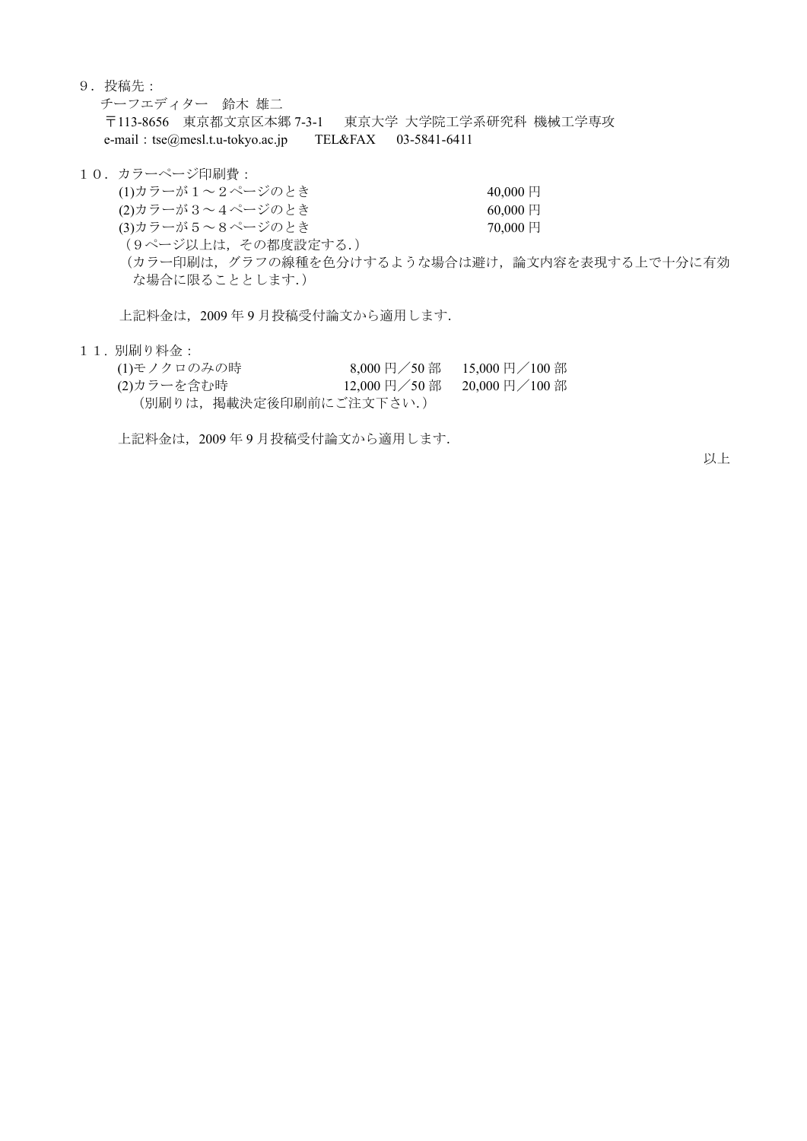9.投稿先:

チーフエディター 鈴木 雄二 〒113-8656 東京都文京区本郷 7-3-1 東京大学 大学院工学系研究科 機械工学専攻 e-mail: tse@mesl.t.u-tokyo.ac.jp TEL&FAX 03-5841-6411

- 10.カラーページ印刷費:
	- $(1)$ カラーが $1 \sim 2$ ページのとき 40,000円
	- $(2)$ カラーが3~4ページのとき 60,000円
	- (3)カラーが5~8ページのとき 70,000 円
	- (9ページ以上は,その都度設定する.)
	- (カラー印刷は,グラフの線種を色分けするような場合は避け,論文内容を表現する上で十分に有効 な場合に限ることとします.)

上記料金は,2009 年 9 月投稿受付論文から適用します.

- 
- 1 1. 別刷り料金:<br>(1)モノクロのみの時<br>・・・<del>へ々</del>\*^時  $(8,000 \text{ H} \diagup 50 \text{ m})$  15,000 円/100 部 (2)カラーを含む時 12,000 円/50 部 20,000 円/100 部 (別刷りは,掲載決定後印刷前にご注文下さい.)

上記料金は,2009 年 9 月投稿受付論文から適用します.

以上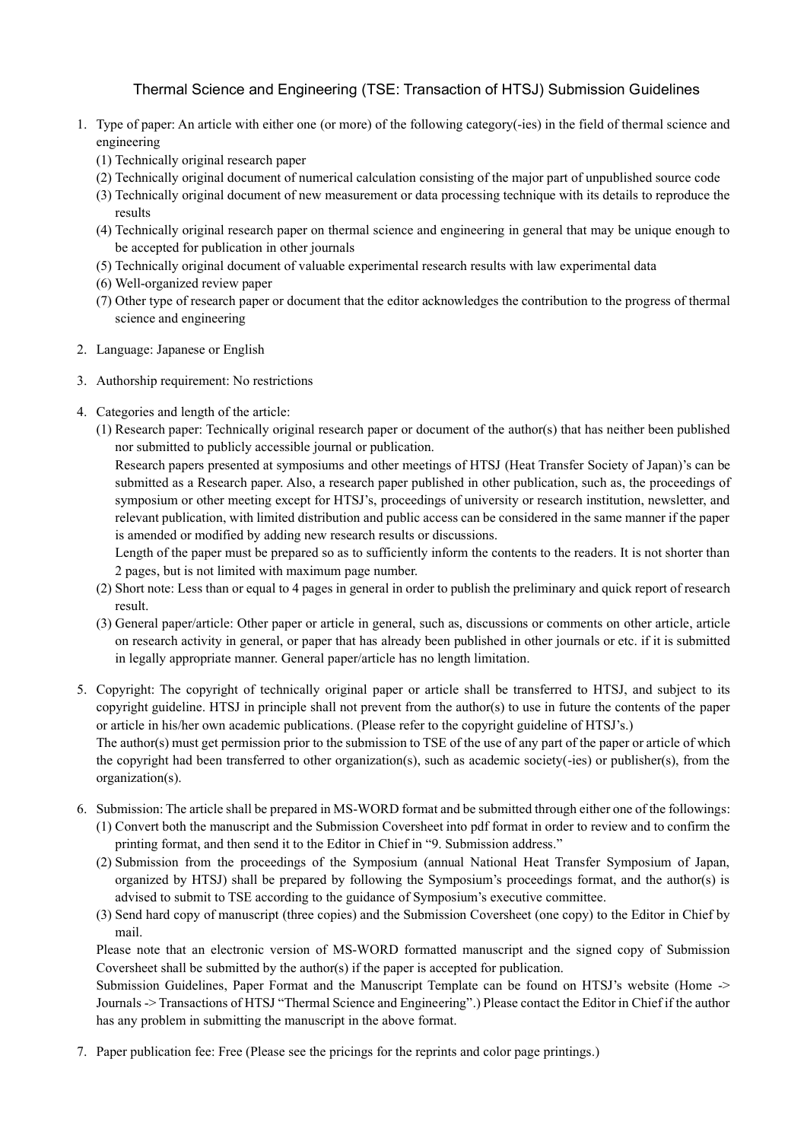# Thermal Science and Engineering (TSE: Transaction of HTSJ) Submission Guidelines

- 1. Type of paper: An article with either one (or more) of the following category(-ies) in the field of thermal science and engineering
	- (1) Technically original research paper
	- (2) Technically original document of numerical calculation consisting of the major part of unpublished source code
	- (3) Technically original document of new measurement or data processing technique with its details to reproduce the results
	- (4) Technically original research paper on thermal science and engineering in general that may be unique enough to be accepted for publication in other journals
	- (5) Technically original document of valuable experimental research results with law experimental data
	- (6) Well-organized review paper
	- (7) Other type of research paper or document that the editor acknowledges the contribution to the progress of thermal science and engineering
- 2. Language: Japanese or English
- 3. Authorship requirement: No restrictions
- 4. Categories and length of the article:
	- (1) Research paper: Technically original research paper or document of the author(s) that has neither been published nor submitted to publicly accessible journal or publication.

Research papers presented at symposiums and other meetings of HTSJ (Heat Transfer Society of Japan)'s can be submitted as a Research paper. Also, a research paper published in other publication, such as, the proceedings of symposium or other meeting except for HTSJ's, proceedings of university or research institution, newsletter, and relevant publication, with limited distribution and public access can be considered in the same manner if the paper is amended or modified by adding new research results or discussions.

Length of the paper must be prepared so as to sufficiently inform the contents to the readers. It is not shorter than 2 pages, but is not limited with maximum page number.

- (2) Short note: Less than or equal to 4 pages in general in order to publish the preliminary and quick report of research result.
- (3) General paper/article: Other paper or article in general, such as, discussions or comments on other article, article on research activity in general, or paper that has already been published in other journals or etc. if it is submitted in legally appropriate manner. General paper/article has no length limitation.
- 5. Copyright: The copyright of technically original paper or article shall be transferred to HTSJ, and subject to its copyright guideline. HTSJ in principle shall not prevent from the author(s) to use in future the contents of the paper or article in his/her own academic publications. (Please refer to the copyright guideline of HTSJ's.) The author(s) must get permission prior to the submission to TSE of the use of any part of the paper or article of which the copyright had been transferred to other organization(s), such as academic society(-ies) or publisher(s), from the organization(s).
- 6. Submission: The article shall be prepared in MS-WORD format and be submitted through either one of the followings: (1) Convert both the manuscript and the Submission Coversheet into pdf format in order to review and to confirm the printing format, and then send it to the Editor in Chief in "9. Submission address."
	- (2) Submission from the proceedings of the Symposium (annual National Heat Transfer Symposium of Japan, organized by HTSJ) shall be prepared by following the Symposium's proceedings format, and the author(s) is advised to submit to TSE according to the guidance of Symposium's executive committee.
	- (3) Send hard copy of manuscript (three copies) and the Submission Coversheet (one copy) to the Editor in Chief by mail.

Please note that an electronic version of MS-WORD formatted manuscript and the signed copy of Submission Coversheet shall be submitted by the author(s) if the paper is accepted for publication.

Submission Guidelines, Paper Format and the Manuscript Template can be found on HTSJ's website (Home -> Journals -> Transactions of HTSJ "Thermal Science and Engineering".) Please contact the Editor in Chief if the author has any problem in submitting the manuscript in the above format.

7. Paper publication fee: Free (Please see the pricings for the reprints and color page printings.)